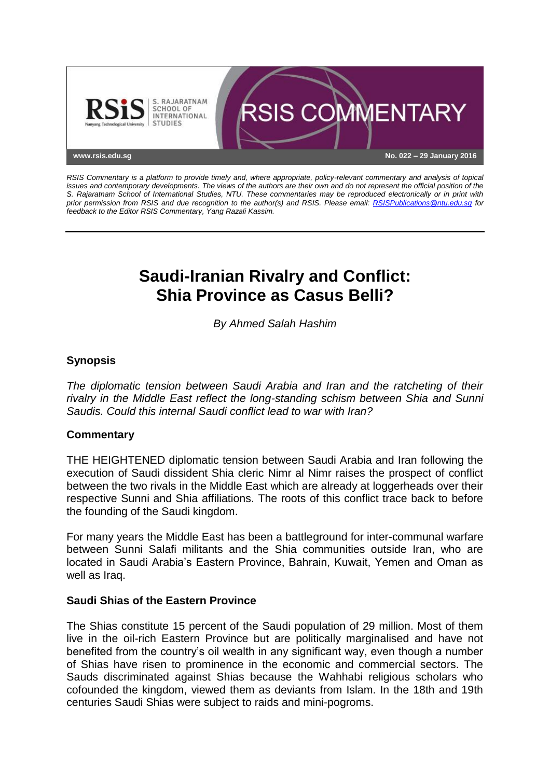

*RSIS Commentary is a platform to provide timely and, where appropriate, policy-relevant commentary and analysis of topical issues and contemporary developments. The views of the authors are their own and do not represent the official position of the S. Rajaratnam School of International Studies, NTU. These commentaries may be reproduced electronically or in print with prior permission from RSIS and due recognition to the author(s) and RSIS. Please email: [RSISPublications@ntu.edu.sg](mailto:RSISPublications@ntu.edu.sg) for feedback to the Editor RSIS Commentary, Yang Razali Kassim.*

# **Saudi-Iranian Rivalry and Conflict: Shia Province as Casus Belli?**

*By Ahmed Salah Hashim*

## **Synopsis**

*The diplomatic tension between Saudi Arabia and Iran and the ratcheting of their rivalry in the Middle East reflect the long-standing schism between Shia and Sunni Saudis. Could this internal Saudi conflict lead to war with Iran?*

#### **Commentary**

THE HEIGHTENED diplomatic tension between Saudi Arabia and Iran following the execution of Saudi dissident Shia cleric Nimr al Nimr raises the prospect of conflict between the two rivals in the Middle East which are already at loggerheads over their respective Sunni and Shia affiliations. The roots of this conflict trace back to before the founding of the Saudi kingdom.

For many years the Middle East has been a battleground for inter-communal warfare between Sunni Salafi militants and the Shia communities outside Iran, who are located in Saudi Arabia's Eastern Province, Bahrain, Kuwait, Yemen and Oman as well as Iraq.

#### **Saudi Shias of the Eastern Province**

The Shias constitute 15 percent of the Saudi population of 29 million. Most of them live in the oil-rich Eastern Province but are politically marginalised and have not benefited from the country's oil wealth in any significant way, even though a number of Shias have risen to prominence in the economic and commercial sectors. The Sauds discriminated against Shias because the Wahhabi religious scholars who cofounded the kingdom, viewed them as deviants from Islam. In the 18th and 19th centuries Saudi Shias were subject to raids and mini-pogroms.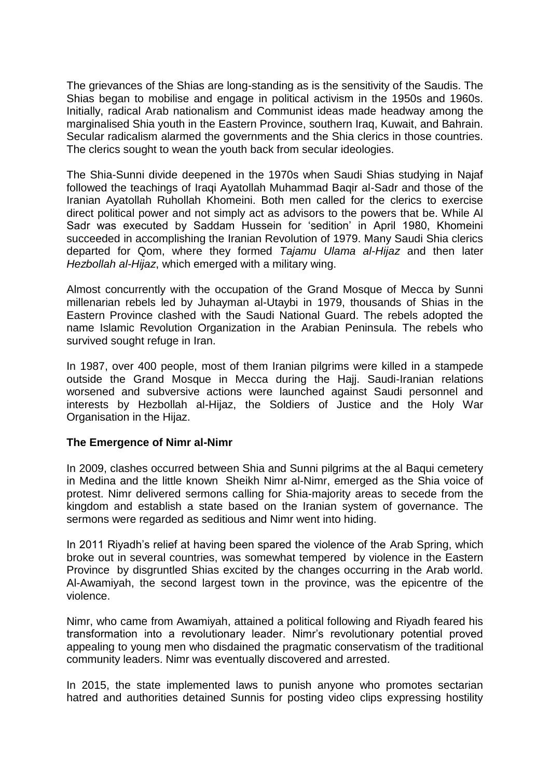The grievances of the Shias are long-standing as is the sensitivity of the Saudis. The Shias began to mobilise and engage in political activism in the 1950s and 1960s. Initially, radical Arab nationalism and Communist ideas made headway among the marginalised Shia youth in the Eastern Province, southern Iraq, Kuwait, and Bahrain. Secular radicalism alarmed the governments and the Shia clerics in those countries. The clerics sought to wean the youth back from secular ideologies.

The Shia-Sunni divide deepened in the 1970s when Saudi Shias studying in Najaf followed the teachings of Iraqi Ayatollah Muhammad Baqir al-Sadr and those of the Iranian Ayatollah Ruhollah Khomeini. Both men called for the clerics to exercise direct political power and not simply act as advisors to the powers that be. While Al Sadr was executed by Saddam Hussein for 'sedition' in April 1980, Khomeini succeeded in accomplishing the Iranian Revolution of 1979. Many Saudi Shia clerics departed for Qom, where they formed *Tajamu Ulama al-Hijaz* and then later *Hezbollah al-Hijaz*, which emerged with a military wing.

Almost concurrently with the occupation of the Grand Mosque of Mecca by Sunni millenarian rebels led by Juhayman al-Utaybi in 1979, thousands of Shias in the Eastern Province clashed with the Saudi National Guard. The rebels adopted the name Islamic Revolution Organization in the Arabian Peninsula. The rebels who survived sought refuge in Iran.

In 1987, over 400 people, most of them Iranian pilgrims were killed in a stampede outside the Grand Mosque in Mecca during the Hajj. Saudi-Iranian relations worsened and subversive actions were launched against Saudi personnel and interests by Hezbollah al-Hijaz, the Soldiers of Justice and the Holy War Organisation in the Hijaz.

#### **The Emergence of Nimr al-Nimr**

In 2009, clashes occurred between Shia and Sunni pilgrims at the al Baqui cemetery in Medina and the little known Sheikh Nimr al-Nimr, emerged as the Shia voice of protest. Nimr delivered sermons calling for Shia-majority areas to secede from the kingdom and establish a state based on the Iranian system of governance. The sermons were regarded as seditious and Nimr went into hiding.

In 2011 Riyadh's relief at having been spared the violence of the Arab Spring, which broke out in several countries, was somewhat tempered by violence in the Eastern Province by disgruntled Shias excited by the changes occurring in the Arab world. Al-Awamiyah, the second largest town in the province, was the epicentre of the violence.

Nimr, who came from Awamiyah, attained a political following and Riyadh feared his transformation into a revolutionary leader. Nimr's revolutionary potential proved appealing to young men who disdained the pragmatic conservatism of the traditional community leaders. Nimr was eventually discovered and arrested.

In 2015, the state implemented laws to punish anyone who promotes sectarian hatred and authorities detained Sunnis for posting video clips expressing hostility